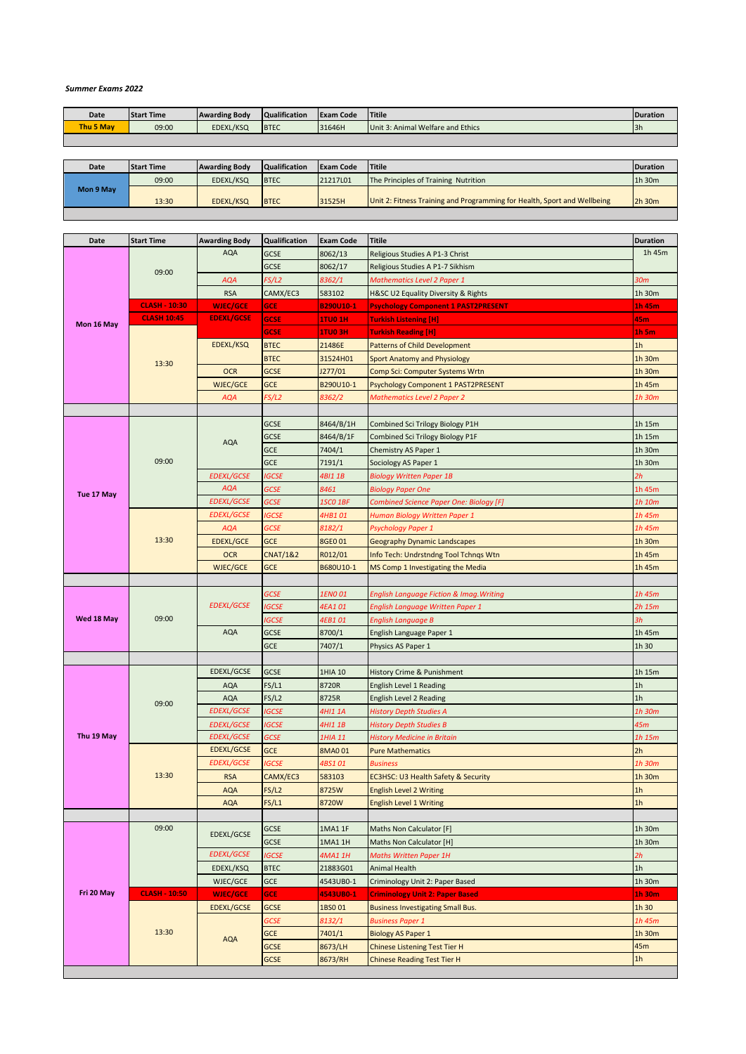## *Summer Exams 2022*

| Date      | <b>Start Time</b> | <b>Awarding Body</b> | <b>Qualification</b> | <b>Exam Code</b> | Titile                            | <b>Duration</b> |
|-----------|-------------------|----------------------|----------------------|------------------|-----------------------------------|-----------------|
| Thu 5 May | 09:00             | EDEXL/KSQ            | <b>BTEC</b>          | 31646H           | Unit 3: Animal Welfare and Ethics | 3h              |
|           |                   |                      |                      |                  |                                   |                 |

| Date      | <b>Start Time</b> | <b>Awarding Body</b> | <b>Qualification</b> | <b>Exam Code</b> | <b>Titile</b>                                                            | <b>Duration</b> |
|-----------|-------------------|----------------------|----------------------|------------------|--------------------------------------------------------------------------|-----------------|
|           | 09:00             | EDEXL/KSQ            | <b>BTEC</b>          | 21217101         | The Principles of Training Nutrition                                     | 1h 30m          |
| Mon 9 May | 13:30             | EDEXL/KSQ            | <b>BTEC</b>          | 31525H           | Unit 2: Fitness Training and Programming for Health, Sport and Wellbeing | 2h 30m          |
|           |                   |                      |                      |                  |                                                                          |                 |

| Date       | <b>Start Time</b>    | <b>Awarding Body</b>     | Qualification       | <b>Exam Code</b> | <b>Titile</b>                                                         | <b>Duration</b>          |
|------------|----------------------|--------------------------|---------------------|------------------|-----------------------------------------------------------------------|--------------------------|
|            |                      | <b>AQA</b>               | <b>GCSE</b>         | 8062/13          | Religious Studies A P1-3 Christ                                       | 1h 45m                   |
|            |                      |                          | <b>GCSE</b>         | 8062/17          | Religious Studies A P1-7 Sikhism                                      |                          |
|            | 09:00                | <b>AQA</b>               | FS/L2               | 8362/1           | <b>Mathematics Level 2 Paper 1</b>                                    | 30 <sub>m</sub>          |
|            |                      | <b>RSA</b>               | CAMX/EC3            | 583102           | H&SC U2 Equality Diversity & Rights                                   | 1h 30m                   |
|            | <b>CLASH - 10:30</b> | <b>WJEC/GCE</b>          | <b>GCE</b>          | <b>B290U10-1</b> | <b>Psychology Component 1 PAST2PRESENT</b>                            | 1h 45m                   |
|            | <b>CLASH 10:45</b>   | <b>EDEXL/GCSE</b>        | <b>GCSE</b>         | <b>1TU0 1H</b>   | <b>Turkish Listening [H]</b>                                          | 45m                      |
| Mon 16 May |                      |                          | <b>GCSE</b>         | <b>1TU0 3H</b>   | <b>Turkish Reading [H]</b>                                            | $1h$ 5m                  |
|            |                      | EDEXL/KSQ                | <b>BTEC</b>         | 21486E           | <b>Patterns of Child Development</b>                                  | 1 <sub>h</sub>           |
|            |                      |                          | <b>BTEC</b>         | 31524H01         | <b>Sport Anatomy and Physiology</b>                                   | 1h 30m                   |
|            | 13:30                | <b>OCR</b>               | <b>GCSE</b>         | J277/01          | Comp Sci: Computer Systems Wrtn                                       | 1h 30m                   |
|            |                      | <b>WJEC/GCE</b>          | <b>GCE</b>          | B290U10-1        | Psychology Component 1 PAST2PRESENT                                   | 1h 45m                   |
|            |                      | <b>AQA</b>               | FS/L2               | 8362/2           | <b>Mathematics Level 2 Paper 2</b>                                    | 1h 30m                   |
|            |                      |                          |                     |                  |                                                                       |                          |
|            |                      |                          | GCSE                | 8464/B/1H        | Combined Sci Trilogy Biology P1H                                      | 1h 15m                   |
|            |                      |                          | <b>GCSE</b>         | 8464/B/1F        | Combined Sci Trilogy Biology P1F                                      | 1h 15m                   |
|            |                      | <b>AQA</b>               | <b>GCE</b>          | 7404/1           | Chemistry AS Paper 1                                                  | 1h 30m                   |
|            | 09:00                |                          | <b>GCE</b>          | 7191/1           | Sociology AS Paper 1                                                  | 1h 30m                   |
|            |                      | <b>EDEXL/GCSE</b>        | <b>IGCSE</b>        | 4BI1 1B          | <b>Biology Written Paper 1B</b>                                       | 2h                       |
|            |                      | <b>AQA</b>               | <b>GCSE</b>         | 8461             | <b>Biology Paper One</b>                                              | 1h 45m                   |
| Tue 17 May |                      | <b>EDEXL/GCSE</b>        | <b>GCSE</b>         | 1SCO 1BF         | <b>Combined Science Paper One: Biology [F]</b>                        | 1h 10m                   |
|            |                      | <b>EDEXL/GCSE</b>        | <b>IGCSE</b>        | 4HB101           | Human Biology Written Paper 1                                         | 1h 45m                   |
|            |                      | <b>AQA</b>               | <b>GCSE</b>         | 8182/1           | Psychology Paper 1                                                    | 1h 45m                   |
|            | 13:30                | <b>EDEXL/GCE</b>         | <b>GCE</b>          | 8GE0 01          | Geography Dynamic Landscapes                                          | 1h 30m                   |
|            |                      | <b>OCR</b>               | <b>CNAT/1&amp;2</b> | R012/01          | Info Tech: Undrstndng Tool Tchnqs Wtn                                 | 1h 45m                   |
|            |                      | <b>WJEC/GCE</b>          | <b>GCE</b>          | B680U10-1        | MS Comp 1 Investigating the Media                                     | 1h 45m                   |
|            |                      |                          |                     |                  |                                                                       |                          |
|            |                      |                          | <b>GCSE</b>         | 1ENO 01          | English Language Fiction & Imag. Writing                              | 1h 45m                   |
|            |                      | <b>EDEXL/GCSE</b>        | IGCSE               | 4EA101           | English Language Written Paper 1                                      | 2h 15m                   |
| Wed 18 May | 09:00                |                          | <b>IGCSE</b>        | 4EB101           | <b>English Language B</b>                                             | 3h                       |
|            |                      | <b>AQA</b>               | <b>GCSE</b>         | 8700/1           | English Language Paper 1                                              | 1h 45m                   |
|            |                      |                          | <b>GCE</b>          | 7407/1           | Physics AS Paper 1                                                    | 1h 30                    |
|            |                      |                          |                     |                  |                                                                       |                          |
|            |                      | EDEXL/GCSE               | GCSE                | 1HIA 10          | History Crime & Punishment                                            | 1h 15m                   |
|            |                      | <b>AQA</b>               | FS/L1               | 8720R            | English Level 1 Reading                                               | 1 <sub>h</sub>           |
|            | 09:00                | <b>AQA</b>               | FS/L2               | 8725R            | English Level 2 Reading                                               | 1 <sub>h</sub>           |
|            |                      | <b>EDEXL/GCSE</b>        | IGCSE               | 4HI1 1A          | <b>History Depth Studies A</b>                                        | 1h 30m                   |
|            |                      | <b>EDEXL/GCSE</b>        | IGCSE               | 4HI1 1B          | <b>History Depth Studies B</b>                                        | 45m                      |
| Thu 19 May |                      | <b>EDEXL/GCSE</b>        | <b>GCSE</b>         | 1HIA 11          | <b>History Medicine in Britain</b>                                    | 1h 15m                   |
|            |                      | <b>EDEXL/GCSE</b>        | <b>GCE</b>          | 8MA001           | <b>Pure Mathematics</b>                                               | 2h                       |
|            | 13:30                | <b>EDEXL/GCSE</b>        | <b>IGCSE</b>        | 4BS101           | <b>Business</b>                                                       | 1h 30m                   |
|            |                      | <b>RSA</b><br><b>AQA</b> | CAMX/EC3<br>FS/L2   | 583103<br>8725W  | EC3HSC: U3 Health Safety & Security<br><b>English Level 2 Writing</b> | 1h 30m<br>1 <sub>h</sub> |
|            |                      | <b>AQA</b>               | FS/L1               | 8720W            |                                                                       | 1h                       |
|            |                      |                          |                     |                  | <b>English Level 1 Writing</b>                                        |                          |
|            | 09:00                |                          | GCSE                | 1MA1 1F          | Maths Non Calculator [F]                                              | 1h 30m                   |
|            |                      | EDEXL/GCSE               | GCSE                | 1MA1 1H          | Maths Non Calculator [H]                                              | 1h 30m                   |
|            |                      | <b>EDEXL/GCSE</b>        | IGCSE               | 4MA1 1H          | <b>Maths Written Paper 1H</b>                                         | 2h                       |
|            |                      | EDEXL/KSQ                | <b>BTEC</b>         | 21883G01         | Animal Health                                                         | 1h                       |
|            |                      | WJEC/GCE                 | GCE                 | 4543UB0-1        | Criminology Unit 2: Paper Based                                       | 1h 30m                   |
| Fri 20 May | <b>CLASH - 10:50</b> | <b>WJEC/GCE</b>          | <b>GCE</b>          | 4543UB0-1        | <b>Criminology Unit 2: Paper Based</b>                                | $1h$ 30 $m$              |
|            |                      | <b>EDEXL/GCSE</b>        | <b>GCSE</b>         | 1BS001           | <b>Business Investigating Small Bus.</b>                              | 1h 30                    |
|            |                      |                          | <b>GCSE</b>         | 8132/1           | Business Paper 1                                                      | 1h 45m                   |
|            | 13:30                |                          | <b>GCE</b>          | 7401/1           | <b>Biology AS Paper 1</b>                                             | 1h 30m                   |
|            |                      | <b>AQA</b>               | <b>GCSE</b>         | 8673/LH          | <b>Chinese Listening Test Tier H</b>                                  | 45m                      |
|            |                      |                          | <b>GCSE</b>         | 8673/RH          | <b>Chinese Reading Test Tier H</b>                                    | 1h                       |
|            |                      |                          |                     |                  |                                                                       |                          |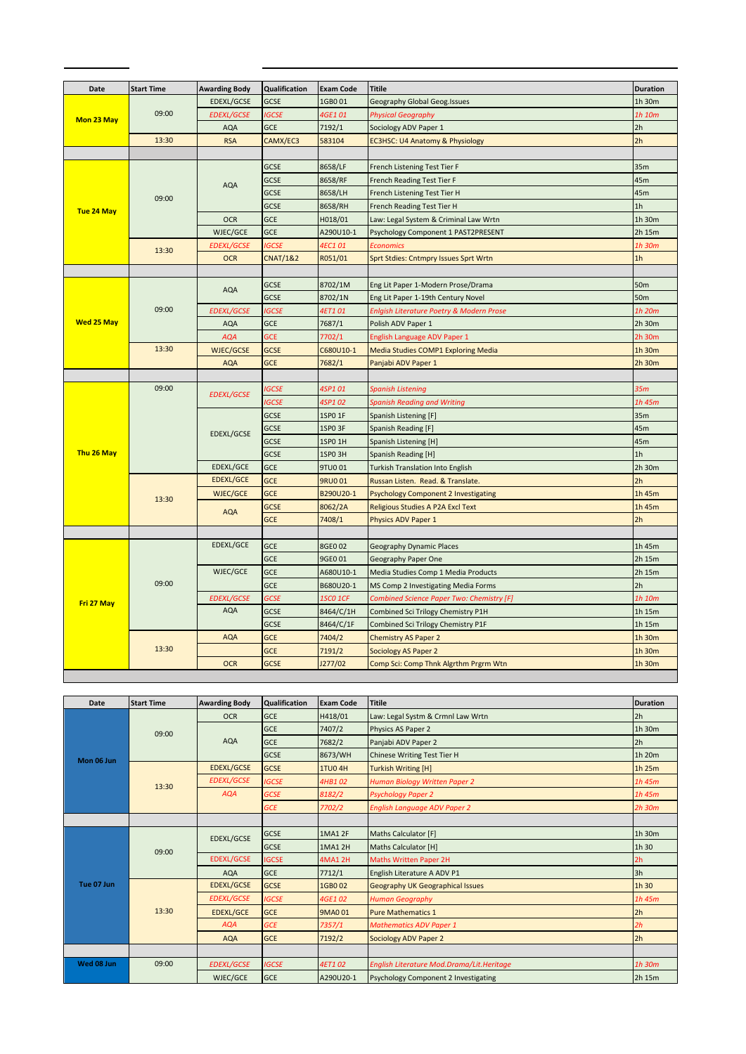| Date              | <b>Start Time</b> | <b>Awarding Body</b> | <b>Qualification</b> | <b>Exam Code</b>   | <b>Titile</b>                               | <b>Duration</b> |
|-------------------|-------------------|----------------------|----------------------|--------------------|---------------------------------------------|-----------------|
|                   |                   | <b>EDEXL/GCSE</b>    | <b>GCSE</b>          | 1GB001             | Geography Global Geog.Issues                | 1h 30m          |
|                   | 09:00             | <b>EDEXL/GCSE</b>    | <b>IGCSE</b>         | 4GE101             | <b>Physical Geography</b>                   | 1h 10m          |
| Mon 23 May        |                   | <b>AQA</b>           | GCE                  | 7192/1             | Sociology ADV Paper 1                       | 2h              |
|                   | 13:30             | <b>RSA</b>           | CAMX/EC3             | 583104             | EC3HSC: U4 Anatomy & Physiology             | 2h              |
|                   |                   |                      |                      |                    |                                             |                 |
|                   |                   |                      | GCSE                 | 8658/LF            | French Listening Test Tier F                | 35m             |
|                   |                   | <b>AQA</b>           | <b>GCSE</b>          | 8658/RF            | French Reading Test Tier F                  | 45m             |
|                   | 09:00             |                      | <b>GCSE</b>          | 8658/LH            | French Listening Test Tier H                | 45m             |
| Tue 24 May        |                   |                      | <b>GCSE</b>          | 8658/RH            | French Reading Test Tier H                  | 1 <sub>h</sub>  |
|                   |                   | <b>OCR</b>           | GCE                  | H018/01            | Law: Legal System & Criminal Law Wrtn       | 1h 30m          |
|                   |                   | WJEC/GCE             | GCE                  | A290U10-1          | Psychology Component 1 PAST2PRESENT         | 2h 15m          |
|                   | 13:30             | <b>EDEXL/GCSE</b>    | <b>IGCSE</b>         | 4EC101             | <b>Economics</b>                            | 1h 30m          |
|                   |                   | <b>OCR</b>           | <b>CNAT/1&amp;2</b>  | R051/01            | Sprt Stdies: Cntmpry Issues Sprt Wrtn       | 1h              |
|                   |                   |                      |                      |                    |                                             |                 |
|                   |                   | <b>AQA</b>           | GCSE                 | 8702/1M            | Eng Lit Paper 1-Modern Prose/Drama          | 50 <sub>m</sub> |
|                   |                   |                      | GCSE                 | 8702/1N            | Eng Lit Paper 1-19th Century Novel          | <b>50m</b>      |
|                   | 09:00             | <b>EDEXL/GCSE</b>    | <b>IGCSE</b>         | 4ET101             | Enlgish Literature Poetry & Modern Prose    | 1h 20m          |
| <b>Wed 25 May</b> |                   | <b>AQA</b>           | GCE                  | 7687/1             | Polish ADV Paper 1                          | 2h 30m          |
|                   |                   | <b>AQA</b>           | <b>GCE</b>           | 7702/1             | English Language ADV Paper 1                | 2h 30m          |
|                   | 13:30             | <b>WJEC/GCSE</b>     | <b>GCSE</b>          | C680U10-1          | Media Studies COMP1 Exploring Media         | 1h 30m          |
|                   |                   | <b>AQA</b>           | <b>GCE</b>           | 7682/1             | Panjabi ADV Paper 1                         | 2h 30m          |
|                   |                   |                      |                      |                    |                                             |                 |
|                   | 09:00             | <b>EDEXL/GCSE</b>    | <b>IGCSE</b>         | 4SP101             | <b>Spanish Listening</b>                    | 35m             |
|                   |                   |                      | IGCSE                | 4SP102             | <b>Spanish Reading and Writing</b>          | 1h 45m          |
|                   |                   |                      | GCSE                 | 1SP0 1F            | Spanish Listening [F]                       | 35m             |
|                   |                   | <b>EDEXL/GCSE</b>    | GCSE                 | 1SP0 3F            | Spanish Reading [F]                         | 45m             |
|                   |                   |                      | <b>GCSE</b>          | 1SP0 1H            | Spanish Listening [H]                       | 45m             |
| Thu 26 May        |                   |                      | GCSE                 | 1SPO <sub>3H</sub> | Spanish Reading [H]                         | 1 <sub>h</sub>  |
|                   |                   | <b>EDEXL/GCE</b>     | GCE                  | 9TU0 01            | <b>Turkish Translation Into English</b>     | 2h 30m          |
|                   |                   | <b>EDEXL/GCE</b>     | GCE                  | <b>9RU001</b>      | Russan Listen. Read. & Translate.           | 2h              |
|                   | 13:30             | <b>WJEC/GCE</b>      | <b>GCE</b>           | B290U20-1          | <b>Psychology Component 2 Investigating</b> | 1h 45m          |
|                   |                   | <b>AQA</b>           | <b>GCSE</b>          | 8062/2A            | Religious Studies A P2A Excl Text           | 1h 45m          |
|                   |                   |                      | <b>GCE</b>           | 7408/1             | Physics ADV Paper 1                         | 2h              |
|                   |                   | EDEXL/GCE            | GCE                  | 8GE0 02            | <b>Geography Dynamic Places</b>             | 1h 45m          |
|                   |                   |                      | GCE                  | 9GE0 01            | Geography Paper One                         | 2h 15m          |
|                   |                   | WJEC/GCE             | GCE                  | A680U10-1          | Media Studies Comp 1 Media Products         | 2h 15m          |
|                   | 09:00             |                      | GCE                  | B680U20-1          | MS Comp 2 Investigating Media Forms         | 2 <sub>h</sub>  |
| Fri 27 May        |                   | <b>EDEXL/GCSE</b>    | <b>GCSE</b>          | <b>1SCO 1CF</b>    | Combined Science Paper Two: Chemistry [F]   | 1h 10m          |
|                   |                   | AQA                  | <b>GCSE</b>          | 8464/C/1H          | Combined Sci Trilogy Chemistry P1H          | 1h 15m          |
|                   |                   |                      | <b>GCSE</b>          | 8464/C/1F          | Combined Sci Trilogy Chemistry P1F          | 1h 15m          |
|                   |                   | <b>AQA</b>           | GCE                  | 7404/2             | <b>Chemistry AS Paper 2</b>                 | 1h 30m          |
|                   | 13:30             |                      | <b>GCE</b>           | 7191/2             | Sociology AS Paper 2                        | 1h 30m          |
|                   |                   | <b>OCR</b>           | <b>GCSE</b>          | J277/02            | Comp Sci: Comp Thnk Algrthm Prgrm Wtn       | 1h 30m          |
|                   |                   |                      |                      |                    |                                             |                 |

 $\mathbf{r}$  and  $\mathbf{r}$  and  $\mathbf{r}$ 

**Contract Contract Contract Contract Contract** 

| Date       | <b>Start Time</b> | <b>Awarding Body</b> | <b>Qualification</b> | <b>Exam Code</b> | <b>Titile</b>                             | <b>Duration</b> |
|------------|-------------------|----------------------|----------------------|------------------|-------------------------------------------|-----------------|
|            |                   | <b>OCR</b>           | <b>GCE</b>           | H418/01          | Law: Legal Systm & Crmnl Law Wrtn         | 2h              |
|            | 09:00             |                      | <b>GCE</b>           | 7407/2           | Physics AS Paper 2                        | 1h 30m          |
|            |                   | <b>AQA</b>           | <b>GCE</b>           | 7682/2           | Panjabi ADV Paper 2                       | 2h              |
| Mon 06 Jun |                   |                      | <b>GCSE</b>          | 8673/WH          | <b>Chinese Writing Test Tier H</b>        | 1h 20m          |
|            |                   | <b>EDEXL/GCSE</b>    | <b>GCSE</b>          | <b>1TU04H</b>    | <b>Turkish Writing [H]</b>                | $1h$ 25 $m$     |
|            | 13:30             | <b>EDEXL/GCSE</b>    | <b>IGCSE</b>         | 4HB102           | Human Biology Written Paper 2             | 1h 45m          |
|            |                   | <b>AQA</b>           | <b>GCSE</b>          | 8182/2           | <b>Psychology Paper 2</b>                 | $1h$ 45 $m$     |
|            |                   |                      | <b>GCE</b>           | 7702/2           | <b>English Language ADV Paper 2</b>       | $2h$ 30 $m$     |
|            |                   |                      |                      |                  |                                           |                 |
|            | 09:00             | EDEXL/GCSE           | <b>GCSE</b>          | <b>1MA1 2F</b>   | Maths Calculator [F]                      | 1h 30m          |
|            |                   |                      | <b>GCSE</b>          | 1MA1 2H          | Maths Calculator [H]                      | 1h 30           |
|            |                   | <b>EDEXL/GCSE</b>    | <b>IGCSE</b>         | <b>4MA1 2H</b>   | <b>Maths Written Paper 2H</b>             | 2h              |
|            |                   | <b>AQA</b>           | <b>GCE</b>           | 7712/1           | English Literature A ADV P1               | 3h              |
| Tue 07 Jun |                   | <b>EDEXL/GCSE</b>    | <b>GCSE</b>          | 1GB002           | <b>Geography UK Geographical Issues</b>   | 1h 30           |
|            |                   | <b>EDEXL/GCSE</b>    | <b>IGCSE</b>         | 4GE1 02          | <b>Human Geography</b>                    | $1h$ 45 $m$     |
|            | 13:30             | <b>EDEXL/GCE</b>     | <b>GCE</b>           | 9MA0 01          | <b>Pure Mathematics 1</b>                 | 2h              |
|            |                   | <b>AQA</b>           | <b>GCE</b>           | 7357/1           | <b>Mathematics ADV Paper 1</b>            | 2h              |
|            |                   | <b>AQA</b>           | <b>GCE</b>           | 7192/2           | <b>Sociology ADV Paper 2</b>              | 2h              |
|            |                   |                      |                      |                  |                                           |                 |
| Wed 08 Jun | 09:00             | <b>EDEXL/GCSE</b>    | <b>IGCSE</b>         | <b>4ET102</b>    | English Literature Mod.Drama/Lit.Heritage | $1h$ 30 $m$     |
|            |                   | WJEC/GCE             | <b>GCE</b>           | A290U20-1        | Psychology Component 2 Investigating      | 2h 15m          |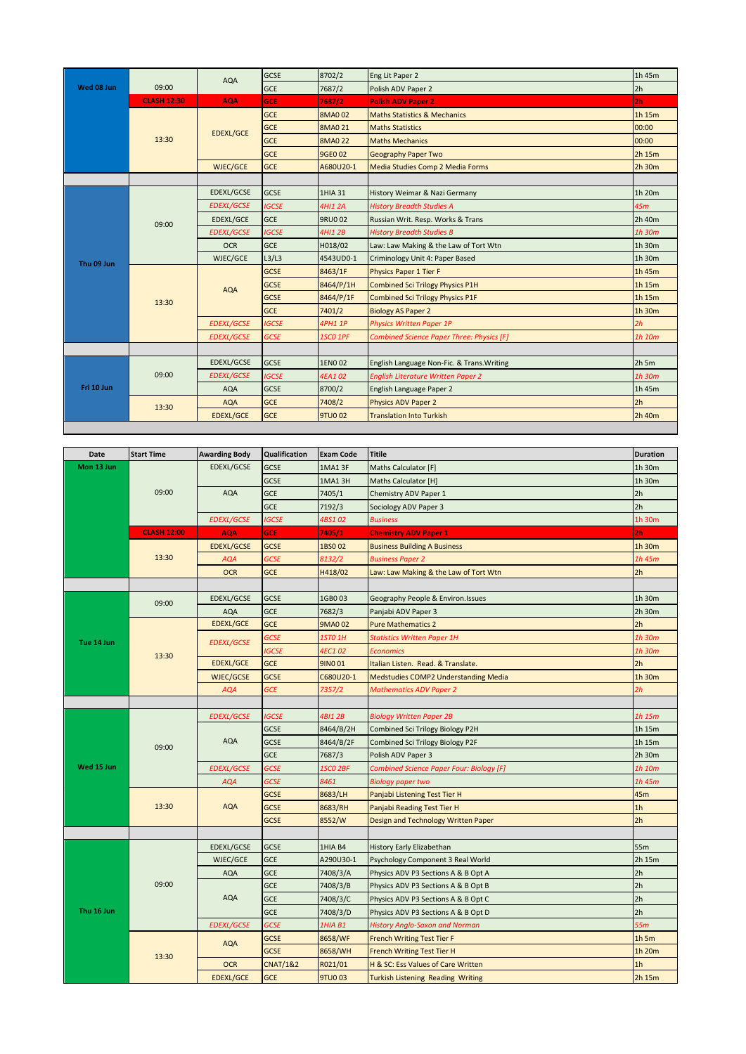|            |                    | <b>AQA</b>        | <b>GCSE</b>  | 8702/2         | Eng Lit Paper 2                            | 1h 45m         |
|------------|--------------------|-------------------|--------------|----------------|--------------------------------------------|----------------|
| Wed 08 Jun | 09:00              |                   | <b>GCE</b>   | 7687/2         | Polish ADV Paper 2                         | 2h             |
|            | <b>CLASH 12:30</b> | <b>AQA</b>        | <b>GCE</b>   | 7687/2         | <b>Polish ADV Paper 2</b>                  | 2 <sub>h</sub> |
|            |                    |                   | <b>GCE</b>   | <b>8MA002</b>  | <b>Maths Statistics &amp; Mechanics</b>    | 1h 15m         |
|            |                    | <b>EDEXL/GCE</b>  | <b>GCE</b>   | 8MA0 21        | <b>Maths Statistics</b>                    | 00:00          |
|            | 13:30              |                   | <b>GCE</b>   | <b>8MA0 22</b> | <b>Maths Mechanics</b>                     | 00:00          |
|            |                    |                   | <b>GCE</b>   | 9GE0 02        | <b>Geography Paper Two</b>                 | 2h 15m         |
|            |                    | WJEC/GCE          | <b>GCE</b>   | A680U20-1      | Media Studies Comp 2 Media Forms           | 2h 30m         |
|            |                    |                   |              |                |                                            |                |
|            |                    | <b>EDEXL/GCSE</b> | <b>GCSE</b>  | 1HIA 31        | History Weimar & Nazi Germany              | 1h 20m         |
|            |                    | <b>EDEXL/GCSE</b> | <b>IGCSE</b> | 4HI1 2A        | <b>History Breadth Studies A</b>           | 45m            |
|            | 09:00              | EDEXL/GCE         | <b>GCE</b>   | 9RU0 02        | Russian Writ. Resp. Works & Trans          | 2h 40m         |
|            |                    | <b>EDEXL/GCSE</b> | <b>IGCSE</b> | 4HI1 2B        | <b>History Breadth Studies B</b>           | 1h 30m         |
|            |                    | <b>OCR</b>        | <b>GCE</b>   | H018/02        | Law: Law Making & the Law of Tort Wtn      | 1h 30m         |
| Thu 09 Jun |                    | WJEC/GCE          | L3/L3        | 4543UD0-1      | Criminology Unit 4: Paper Based            | 1h 30m         |
|            |                    | <b>AQA</b>        | <b>GCSE</b>  | 8463/1F        | <b>Physics Paper 1 Tier F</b>              | 1h 45m         |
|            |                    |                   | <b>GCSE</b>  | 8464/P/1H      | <b>Combined Sci Trilogy Physics P1H</b>    | 1h 15m         |
|            | 13:30              |                   | <b>GCSE</b>  | 8464/P/1F      | <b>Combined Sci Trilogy Physics P1F</b>    | 1h 15m         |
|            |                    |                   | <b>GCE</b>   | 7401/2         | <b>Biology AS Paper 2</b>                  | 1h 30m         |
|            |                    | <b>EDEXL/GCSE</b> | <b>IGCSE</b> | <b>4PH1 1P</b> | <b>Physics Written Paper 1P</b>            | 2h             |
|            |                    | <b>EDEXL/GCSE</b> | <b>GCSE</b>  | 1SCO 1PF       | Combined Science Paper Three: Physics [F]  | 1h 10m         |
|            |                    |                   |              |                |                                            |                |
|            |                    | <b>EDEXL/GCSE</b> | <b>GCSE</b>  | 1EN0 02        | English Language Non-Fic. & Trans. Writing | $2h$ 5 $m$     |
|            | 09:00              | <b>EDEXL/GCSE</b> | <b>IGCSE</b> | 4EA102         | <b>English Literature Written Paper 2</b>  | 1h 30m         |
| Fri 10 Jun |                    | <b>AQA</b>        | <b>GCSE</b>  | 8700/2         | English Language Paper 2                   | 1h 45m         |
|            | 13:30              | <b>AQA</b>        | <b>GCE</b>   | 7408/2         | Physics ADV Paper 2                        | 2h             |
|            |                    | <b>EDEXL/GCE</b>  | <b>GCE</b>   | <b>9TU002</b>  | <b>Translation Into Turkish</b>            | 2h 40m         |

| Date       | <b>Start Time</b>  | <b>Awarding Body</b> | Qualification       | <b>Exam Code</b> | <b>Titile</b>                            | <b>Duration</b> |
|------------|--------------------|----------------------|---------------------|------------------|------------------------------------------|-----------------|
| Mon 13 Jun |                    | EDEXL/GCSE           | GCSE                | 1MA13F           | Maths Calculator [F]                     | 1h 30m          |
|            |                    |                      | <b>GCSE</b>         | 1MA13H           | Maths Calculator [H]                     | 1h 30m          |
|            | 09:00              | AQA                  | <b>GCE</b>          | 7405/1           | Chemistry ADV Paper 1                    | 2h              |
|            |                    |                      | <b>GCE</b>          | 7192/3           | Sociology ADV Paper 3                    | 2h              |
|            |                    | <b>EDEXL/GCSE</b>    | <b>IGCSE</b>        | 4BS102           | <b>Business</b>                          | 1h 30m          |
|            | <b>CLASH 12:00</b> | <b>AQA</b>           | <b>GCE</b>          | 7405/1           | <b>Chemistry ADV Paper 1</b>             | 2 <sub>h</sub>  |
|            |                    | <b>EDEXL/GCSE</b>    | <b>GCSE</b>         | 1BS002           | <b>Business Building A Business</b>      | 1h 30m          |
|            | 13:30              | <b>AQA</b>           | <b>GCSE</b>         | 8132/2           | <b>Business Paper 2</b>                  | 1h 45m          |
|            |                    | <b>OCR</b>           | <b>GCE</b>          | H418/02          | Law: Law Making & the Law of Tort Wtn    | 2h              |
|            |                    |                      |                     |                  |                                          |                 |
|            | 09:00              | EDEXL/GCSE           | <b>GCSE</b>         | 1GB003           | Geography People & Environ.Issues        | 1h 30m          |
|            |                    | <b>AQA</b>           | <b>GCE</b>          | 7682/3           | Panjabi ADV Paper 3                      | 2h 30m          |
|            |                    | <b>EDEXL/GCE</b>     | <b>GCE</b>          | 9MA002           | <b>Pure Mathematics 2</b>                | 2h              |
| Tue 14 Jun |                    | <b>EDEXL/GCSE</b>    | <b>GCSE</b>         | 1STO 1H          | <b>Statistics Written Paper 1H</b>       | 1h 30m          |
|            | 13:30              |                      | <b>IGCSE</b>        | 4EC102           | <b>Economics</b>                         | 1h 30m          |
|            |                    | <b>EDEXL/GCE</b>     | <b>GCE</b>          | 9INO 01          | Italian Listen. Read. & Translate.       | 2h              |
|            |                    | <b>WJEC/GCSE</b>     | <b>GCSE</b>         | C680U20-1        | Medstudies COMP2 Understanding Media     | 1h 30m          |
|            |                    | <b>AQA</b>           | <b>GCE</b>          | 7357/2           | <b>Mathematics ADV Paper 2</b>           | 2h              |
|            |                    |                      |                     |                  |                                          |                 |
|            | 09:00              | <b>EDEXL/GCSE</b>    | <b>IGCSE</b>        | 4BI1 2B          | <b>Biology Written Paper 2B</b>          | 1h 15m          |
|            |                    | AQA                  | <b>GCSE</b>         | 8464/B/2H        | Combined Sci Trilogy Biology P2H         | 1h 15m          |
|            |                    |                      | <b>GCSE</b>         | 8464/B/2F        | Combined Sci Trilogy Biology P2F         | 1h 15m          |
|            |                    |                      | <b>GCE</b>          | 7687/3           | Polish ADV Paper 3                       | 2h 30m          |
| Wed 15 Jun |                    | <b>EDEXL/GCSE</b>    | <b>GCSE</b>         | 1SCO 2BF         | Combined Science Paper Four: Biology [F] | 1h 10m          |
|            |                    | <b>AQA</b>           | <b>GCSE</b>         | 8461             | Biology paper two                        | 1h 45m          |
|            |                    |                      | <b>GCSE</b>         | 8683/LH          | Panjabi Listening Test Tier H            | 45m             |
|            | 13:30              | <b>AQA</b>           | <b>GCSE</b>         | 8683/RH          | Panjabi Reading Test Tier H              | 1 <sub>h</sub>  |
|            |                    |                      | <b>GCSE</b>         | 8552/W           | Design and Technology Written Paper      | 2h              |
|            |                    |                      |                     |                  |                                          |                 |
|            |                    | EDEXL/GCSE           | GCSE                | 1HIA B4          | History Early Elizabethan                | 55m             |
|            |                    | WJEC/GCE             | <b>GCE</b>          | A290U30-1        | Psychology Component 3 Real World        | 2h 15m          |
|            |                    | <b>AQA</b>           | GCE                 | 7408/3/A         | Physics ADV P3 Sections A & B Opt A      | 2 <sub>h</sub>  |
|            | 09:00              |                      | <b>GCE</b>          | 7408/3/B         | Physics ADV P3 Sections A & B Opt B      | 2 <sub>h</sub>  |
|            |                    | <b>AQA</b>           | <b>GCE</b>          | 7408/3/C         | Physics ADV P3 Sections A & B Opt C      | 2 <sub>h</sub>  |
| Thu 16 Jun |                    |                      | <b>GCE</b>          | 7408/3/D         | Physics ADV P3 Sections A & B Opt D      | 2h              |
|            |                    | <b>EDEXL/GCSE</b>    | <b>GCSE</b>         | 1HIA B1          | <b>History Anglo-Saxon and Norman</b>    | 55m             |
|            |                    | <b>AQA</b>           | <b>GCSE</b>         | 8658/WF          | <b>French Writing Test Tier F</b>        | $1h$ 5 $m$      |
|            | 13:30              |                      | <b>GCSE</b>         | 8658/WH          | <b>French Writing Test Tier H</b>        | 1h 20m          |
|            |                    | <b>OCR</b>           | <b>CNAT/1&amp;2</b> | R021/01          | H & SC: Ess Values of Care Written       | 1 <sub>h</sub>  |
|            |                    | <b>EDEXL/GCE</b>     | <b>GCE</b>          | <b>9TU003</b>    | <b>Turkish Listening Reading Writing</b> | 2h 15m          |